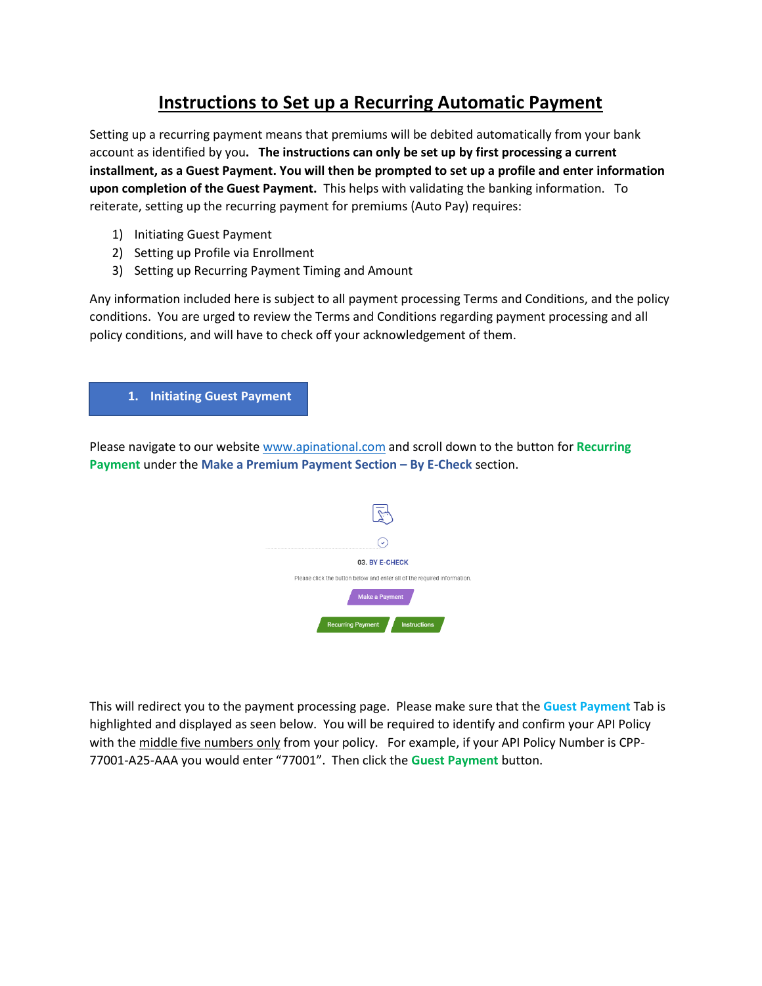# **Instructions to Set up a Recurring Automatic Payment**

Setting up a recurring payment means that premiums will be debited automatically from your bank account as identified by you**. The instructions can only be set up by first processing a current installment, as a Guest Payment. You will then be prompted to set up a profile and enter information upon completion of the Guest Payment.** This helps with validating the banking information. To reiterate, setting up the recurring payment for premiums (Auto Pay) requires:

- 1) Initiating Guest Payment
- 2) Setting up Profile via Enrollment
- 3) Setting up Recurring Payment Timing and Amount

Any information included here is subject to all payment processing Terms and Conditions, and the policy conditions. You are urged to review the Terms and Conditions regarding payment processing and all policy conditions, and will have to check off your acknowledgement of them.

## **1. Initiating Guest Payment**

Please navigate to our website [www.apinational.com](http://www.apinational.com/) and scroll down to the button for **Recurring Payment** under the **Make a Premium Payment Section – By E-Check** section.



This will redirect you to the payment processing page. Please make sure that the **Guest Payment** Tab is highlighted and displayed as seen below. You will be required to identify and confirm your API Policy with the middle five numbers only from your policy. For example, if your API Policy Number is CPP-77001-A25-AAA you would enter "77001". Then click the **Guest Payment** button.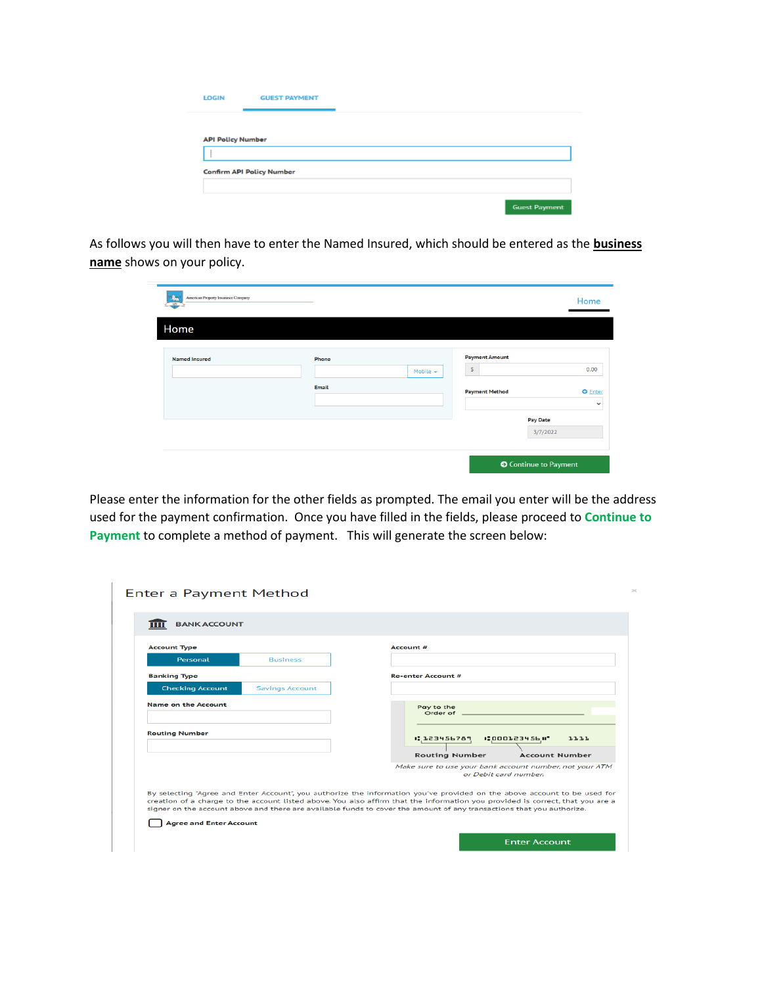| <b>LOGIN</b>             | <b>GUEST PAYMENT</b>             |  |                      |
|--------------------------|----------------------------------|--|----------------------|
|                          |                                  |  |                      |
| <b>API Policy Number</b> |                                  |  |                      |
|                          |                                  |  |                      |
|                          | <b>Confirm API Policy Number</b> |  |                      |
|                          |                                  |  |                      |
|                          |                                  |  | <b>Guest Payment</b> |

As follows you will then have to enter the Named Insured, which should be entered as the **business name** shows on your policy.

| American Property Insurance Company<br>APT. |       |               |                              | Home                           |
|---------------------------------------------|-------|---------------|------------------------------|--------------------------------|
| Home                                        |       |               |                              |                                |
| <b>Named Insured</b>                        | Phone |               | <b>Payment Amount</b>        |                                |
|                                             |       | Mobile $\sim$ | $\mathbb S$                  | 0.00                           |
|                                             | Email |               | <b>Payment Method</b>        | <b>O</b> Enter<br>$\checkmark$ |
|                                             |       |               | <b>Pay Date</b>              |                                |
|                                             |       |               |                              | 3/7/2022                       |
|                                             |       |               | <b>O</b> Continue to Payment |                                |

Please enter the information for the other fields as prompted. The email you enter will be the address used for the payment confirmation. Once you have filled in the fields, please proceed to **Continue to Payment** to complete a method of payment. This will generate the screen below:

| <b>BANK ACCOUNT</b>            |                        |                                                                                                                                                                                                                                                                                                                                                                                      |
|--------------------------------|------------------------|--------------------------------------------------------------------------------------------------------------------------------------------------------------------------------------------------------------------------------------------------------------------------------------------------------------------------------------------------------------------------------------|
|                                |                        |                                                                                                                                                                                                                                                                                                                                                                                      |
| <b>Account Type</b>            |                        | Account #                                                                                                                                                                                                                                                                                                                                                                            |
| Personal                       | <b>Business</b>        |                                                                                                                                                                                                                                                                                                                                                                                      |
| <b>Banking Type</b>            |                        | <b>Re-enter Account #</b>                                                                                                                                                                                                                                                                                                                                                            |
| <b>Checking Account</b>        | <b>Savings Account</b> |                                                                                                                                                                                                                                                                                                                                                                                      |
| Name on the Account            |                        | Pay to the<br>Order of                                                                                                                                                                                                                                                                                                                                                               |
| <b>Routing Number</b>          |                        | 1.123456789<br><b>1:000123456 H*</b><br>1111                                                                                                                                                                                                                                                                                                                                         |
|                                |                        | <b>Routing Number</b><br><b>Account Number</b>                                                                                                                                                                                                                                                                                                                                       |
|                                |                        | Make sure to use your bank account number, not your ATM<br>or Debit card number.                                                                                                                                                                                                                                                                                                     |
| <b>Agree and Enter Account</b> |                        | By selecting "Agree and Enter Account", you authorize the information you've provided on the above account to be used for<br>creation of a charge to the account listed above. You also affirm that the information you provided is correct, that you are a<br>signer on the account above and there are available funds to cover the amount of any transactions that you authorize. |
|                                |                        | <b>Enter Account</b>                                                                                                                                                                                                                                                                                                                                                                 |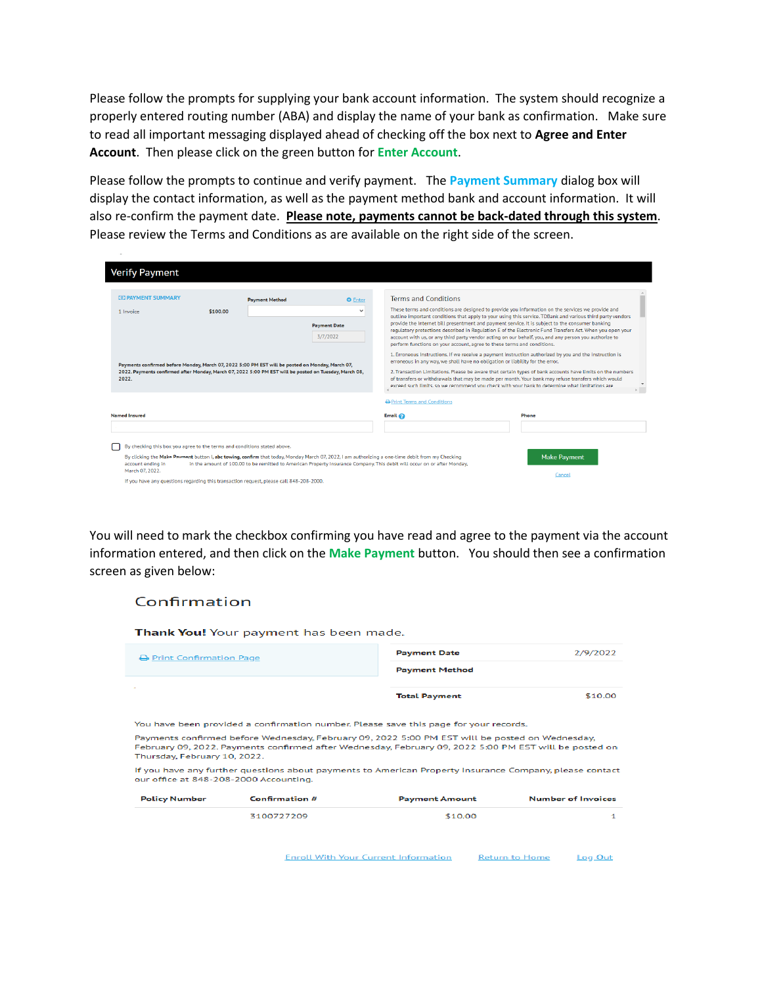Please follow the prompts for supplying your bank account information. The system should recognize a properly entered routing number (ABA) and display the name of your bank as confirmation. Make sure to read all important messaging displayed ahead of checking off the box next to **Agree and Enter Account**. Then please click on the green button for **Enter Account**.

Please follow the prompts to continue and verify payment. The **Payment Summary** dialog box will display the contact information, as well as the payment method bank and account information. It will also re-confirm the payment date. **Please note, payments cannot be back-dated through this system**. Please review the Terms and Conditions as are available on the right side of the screen.

| <b>Verify Payment</b>                                                                                            |                                                                                                                                                                                                                                                                              |                                 |                                                                               |                                                                                                                                                                                                                                                                                                                                                                                                                                                 |
|------------------------------------------------------------------------------------------------------------------|------------------------------------------------------------------------------------------------------------------------------------------------------------------------------------------------------------------------------------------------------------------------------|---------------------------------|-------------------------------------------------------------------------------|-------------------------------------------------------------------------------------------------------------------------------------------------------------------------------------------------------------------------------------------------------------------------------------------------------------------------------------------------------------------------------------------------------------------------------------------------|
|                                                                                                                  |                                                                                                                                                                                                                                                                              |                                 |                                                                               |                                                                                                                                                                                                                                                                                                                                                                                                                                                 |
| <b>CO PAYMENT SUMMARY</b>                                                                                        | <b>Payment Method</b>                                                                                                                                                                                                                                                        | <b>O</b> Enter                  | <b>Terms and Conditions</b>                                                   |                                                                                                                                                                                                                                                                                                                                                                                                                                                 |
| 1 Invoice                                                                                                        | \$100.00                                                                                                                                                                                                                                                                     | $\checkmark$                    |                                                                               | These terms and conditions are designed to provide you information on the services we provide and<br>outline important conditions that apply to your using this service. TDBank and various third party vendors                                                                                                                                                                                                                                 |
|                                                                                                                  |                                                                                                                                                                                                                                                                              | <b>Payment Date</b><br>3/7/2022 | perform functions on your account, agree to these terms and conditions.       | provide the Internet bill presentment and payment service. It is subject to the consumer banking<br>requiatory protections described in Requiation E of the Electronic Fund Transfers Act. When you open your<br>account with us, or any third party vendor acting on our behalf, you, and any person you authorize to                                                                                                                          |
| 2022.                                                                                                            | Payments confirmed before Monday, March 07, 2022 5:00 PM EST will be posted on Monday, March 07,<br>2022. Payments confirmed after Monday, March 07, 2022 5:00 PM EST will be posted on Tuesday, March 08,                                                                   |                                 | erroneous in any way, we shall have no obligation or liability for the error. | 1. Erroneous Instructions. If we receive a payment instruction authorized by you and the instruction is<br>2. Transaction Limitations. Please be aware that certain types of bank accounts have limits on the numbers<br>of transfers or withdrawals that may be made per month. Your bank may refuse transfers which would<br>exceed such limits, so we recommend you check with your bank to determine what limitations are<br>$\overline{a}$ |
|                                                                                                                  |                                                                                                                                                                                                                                                                              |                                 | <b>A</b> Print Terms and Conditions                                           |                                                                                                                                                                                                                                                                                                                                                                                                                                                 |
| <b>Named Insured</b>                                                                                             |                                                                                                                                                                                                                                                                              |                                 | Email $\odot$                                                                 | Phone                                                                                                                                                                                                                                                                                                                                                                                                                                           |
|                                                                                                                  |                                                                                                                                                                                                                                                                              |                                 |                                                                               |                                                                                                                                                                                                                                                                                                                                                                                                                                                 |
| By checking this box you agree to the terms and conditions stated above.<br>account ending in<br>March 07, 2022. | By clicking the Make Payment button I, abc towing, confirm that today, Monday March 07, 2022, I am authorizing a one-time debit from my Checking<br>in the amount of 100.00 to be remitted to American Property Insurance Company. This debit will occur on or after Monday, |                                 |                                                                               | <b>Make Payment</b>                                                                                                                                                                                                                                                                                                                                                                                                                             |
|                                                                                                                  | If you have any questions regarding this transaction request, please call 848-208-2000.                                                                                                                                                                                      |                                 |                                                                               | Cancel                                                                                                                                                                                                                                                                                                                                                                                                                                          |

You will need to mark the checkbox confirming you have read and agree to the payment via the account information entered, and then click on the **Make Payment** button. You should then see a confirmation screen as given below:

### Confirmation

Thank You! Your payment has been made.

| <b>B</b> Print Confirmation Page | <b>Payment Date</b>   | 2/9/2022 |
|----------------------------------|-----------------------|----------|
|                                  | <b>Payment Method</b> |          |
| $\sim$                           | <b>Total Payment</b>  | \$10.00  |

You have been provided a confirmation number. Please save this page for your records.

Payments confirmed before Wednesday, February 09, 2022 5:00 PM EST will be posted on Wednesday. February 09, 2022. Payments confirmed after Wednesday, February 09, 2022 5:00 PM EST will be posted on Thursday, February 10, 2022.

If you have any further questions about payments to American Property Insurance Company, please contact our office at 848-208-2000 Accounting.

| <b>Policy Number</b> | Confirmation # | <b>Payment Amount</b> | <b>Number of Invoices</b> |
|----------------------|----------------|-----------------------|---------------------------|
|                      | 3100727209     | \$10.00               |                           |

**Enroll With Your Current Information Return to Home** Log Out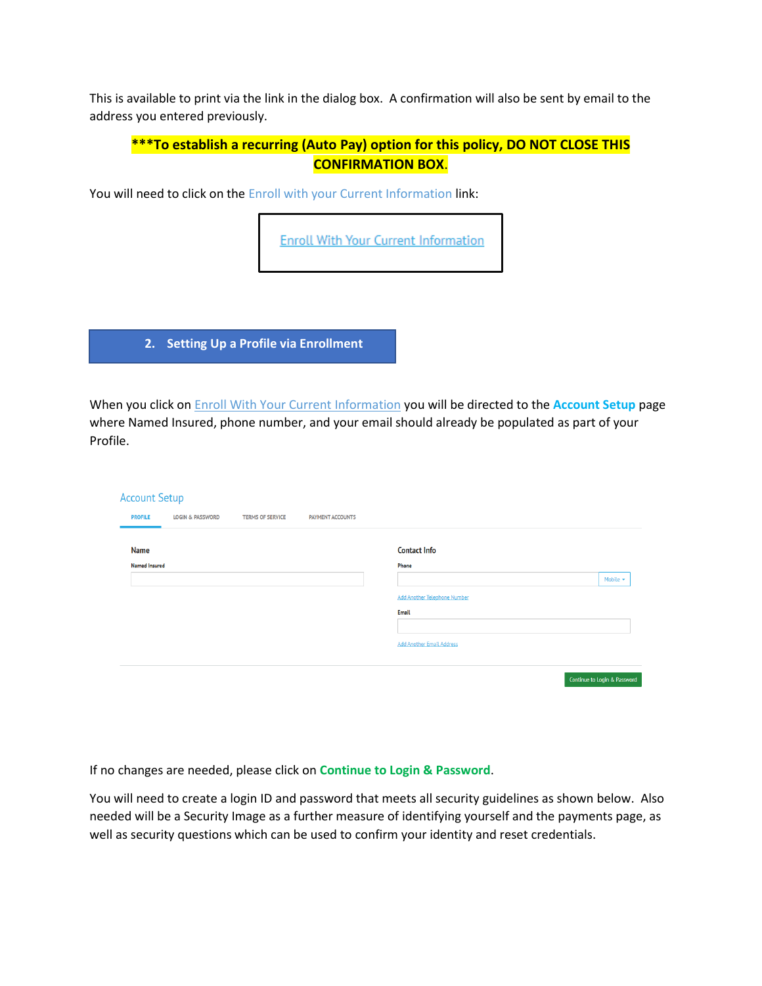This is available to print via the link in the dialog box. A confirmation will also be sent by email to the address you entered previously.

# **\*\*\*To establish a recurring (Auto Pay) option for this policy, DO NOT CLOSE THIS CONFIRMATION BOX**.

You will need to click on the Enroll with your Current Information link:

**Enroll With Your Current Information** 

**2. Setting Up a Profile via Enrollment**

When you click on Enroll With Your Current Information you will be directed to the **Account Setup** page where Named Insured, phone number, and your email should already be populated as part of your Profile.

| <b>Account Setup</b> |                             |                         |                         |                                     |                              |
|----------------------|-----------------------------|-------------------------|-------------------------|-------------------------------------|------------------------------|
| <b>PROFILE</b>       | <b>LOGIN &amp; PASSWORD</b> | <b>TERMS OF SERVICE</b> | <b>PAYMENT ACCOUNTS</b> |                                     |                              |
|                      |                             |                         |                         |                                     |                              |
| <b>Name</b>          |                             |                         |                         | <b>Contact Info</b>                 |                              |
| <b>Named Insured</b> |                             |                         |                         | Phone                               |                              |
|                      |                             |                         |                         |                                     | Mobile $\star$               |
|                      |                             |                         |                         | <b>Add Another Telephone Number</b> |                              |
|                      |                             |                         |                         | Email                               |                              |
|                      |                             |                         |                         |                                     |                              |
|                      |                             |                         |                         | <b>Add Another Email Address</b>    |                              |
|                      |                             |                         |                         |                                     |                              |
|                      |                             |                         |                         |                                     | Continue to Login & Password |
|                      |                             |                         |                         |                                     |                              |

If no changes are needed, please click on **Continue to Login & Password**.

You will need to create a login ID and password that meets all security guidelines as shown below. Also needed will be a Security Image as a further measure of identifying yourself and the payments page, as well as security questions which can be used to confirm your identity and reset credentials.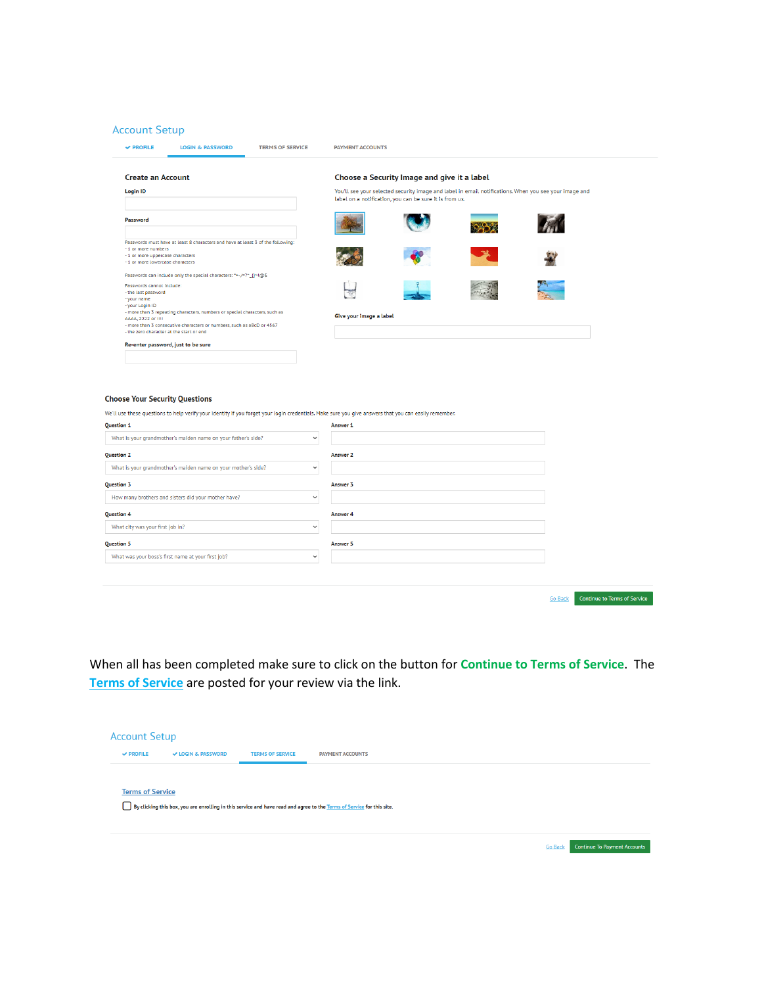### **Account Setup**

| <b>Create an Account</b>                                                                                                                                                                                                                 |                         | Choose a Security Image and give it a label             |                                                                                                       |
|------------------------------------------------------------------------------------------------------------------------------------------------------------------------------------------------------------------------------------------|-------------------------|---------------------------------------------------------|-------------------------------------------------------------------------------------------------------|
| <b>Login ID</b>                                                                                                                                                                                                                          |                         | label on a notification, you can be sure it is from us. | You'll see your selected security image and label in email notifications. When you see your image and |
| Password                                                                                                                                                                                                                                 |                         |                                                         |                                                                                                       |
| Passwords must have at least 8 characters and have at least 3 of the following:<br>- 1 or more numbers<br>- 1 or more uppercase characters<br>- 1 or more lowercase characters                                                           |                         |                                                         |                                                                                                       |
| Passwords can include only the special characters: **-/=?^_{}~!@\$<br>Passwords cannot include:<br>- the last password<br>- your name                                                                                                    |                         |                                                         |                                                                                                       |
| - your Login ID<br>- more than 3 repeating characters, numbers or special characters, such as<br>AAAA, 2222 or !!!!<br>- more than 3 consecutive characters or numbers, such as aBcD or 4567<br>- the zero character at the start or end | Give your image a label |                                                         |                                                                                                       |
| Re-enter password, just to be sure                                                                                                                                                                                                       |                         |                                                         |                                                                                                       |
|                                                                                                                                                                                                                                          |                         |                                                         |                                                                                                       |
|                                                                                                                                                                                                                                          |                         |                                                         |                                                                                                       |
|                                                                                                                                                                                                                                          |                         |                                                         |                                                                                                       |

#### $Ch$

| <b>Question 1</b>                                                             | Answer 1        |                                                       |
|-------------------------------------------------------------------------------|-----------------|-------------------------------------------------------|
| What is your grandmother's maiden name on your father's side?<br>$\checkmark$ |                 |                                                       |
| <b>Question 2</b>                                                             | <b>Answer 2</b> |                                                       |
| What is your grandmother's maiden name on your mother's side?<br>$\checkmark$ |                 |                                                       |
| Question 3                                                                    | Answer 3        |                                                       |
| How many brothers and sisters did your mother have?<br>$\checkmark$           |                 |                                                       |
| <b>Question 4</b>                                                             | Answer 4        |                                                       |
| What city was your first job in?<br>$\checkmark$                              |                 |                                                       |
| <b>Question 5</b>                                                             | Answer 5        |                                                       |
| What was your boss's first name at your first job?<br>$\checkmark$            |                 |                                                       |
|                                                                               |                 |                                                       |
|                                                                               |                 |                                                       |
|                                                                               |                 | <b>Continue to Terms of Service</b><br><b>Go Back</b> |

When all has been completed make sure to click on the button for **Continue to Terms of Service**. The **Terms of Service** are posted for your review via the link.

| <b>Account Setup</b>    |                               |                         |                                                                                                                        |                |                                     |
|-------------------------|-------------------------------|-------------------------|------------------------------------------------------------------------------------------------------------------------|----------------|-------------------------------------|
| $\vee$ PROFILE          | <b>√ LOGIN &amp; PASSWORD</b> | <b>TERMS OF SERVICE</b> | <b>PAYMENT ACCOUNTS</b>                                                                                                |                |                                     |
|                         |                               |                         |                                                                                                                        |                |                                     |
| <b>Terms of Service</b> |                               |                         |                                                                                                                        |                |                                     |
|                         |                               |                         | By clicking this box, you are enrolling in this service and have read and agree to the Terms of Service for this site. |                |                                     |
|                         |                               |                         |                                                                                                                        |                |                                     |
|                         |                               |                         |                                                                                                                        | <b>Go Back</b> | <b>Continue To Payment Accounts</b> |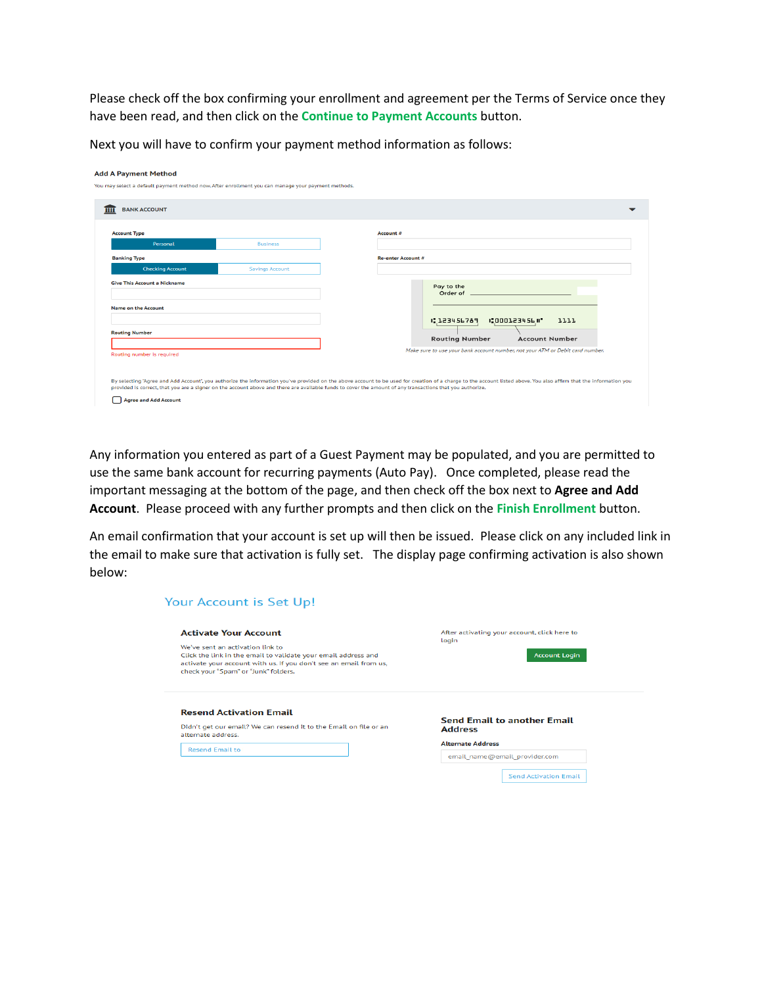Please check off the box confirming your enrollment and agreement per the Terms of Service once they have been read, and then click on the **Continue to Payment Accounts** button.

Next you will have to confirm your payment method information as follows:

| <b>BANK ACCOUNT</b>        |                        |                                                                                                                                                                                                                                                                                           |
|----------------------------|------------------------|-------------------------------------------------------------------------------------------------------------------------------------------------------------------------------------------------------------------------------------------------------------------------------------------|
| <b>Account Type</b>        |                        | Account #                                                                                                                                                                                                                                                                                 |
| Personal                   | <b>Business</b>        |                                                                                                                                                                                                                                                                                           |
| <b>Banking Type</b>        |                        | <b>Re-enter Account #</b>                                                                                                                                                                                                                                                                 |
| <b>Checking Account</b>    | <b>Savings Account</b> |                                                                                                                                                                                                                                                                                           |
| <b>Name on the Account</b> |                        | Order of <b>contract of the contract of the contract of the contract of the contract of the contract of the contract of the contract of the contract of the contract of the contract of the contract of the contract of the cont</b><br>1.123456789<br><b>1:000123456#</b><br><b>LLLL</b> |
| <b>Routing Number</b>      |                        | <b>Routing Number</b><br><b>Account Number</b>                                                                                                                                                                                                                                            |
| Routing number is required |                        | Make sure to use your bank account number, not your ATM or Debit card number.                                                                                                                                                                                                             |
|                            |                        | By selecting "Agree and Add Account", you authorize the information you've provided on the above account to be used for creation of a charge to the account listed above. You also affirm that the information you                                                                        |

Any information you entered as part of a Guest Payment may be populated, and you are permitted to use the same bank account for recurring payments (Auto Pay). Once completed, please read the important messaging at the bottom of the page, and then check off the box next to **Agree and Add Account**. Please proceed with any further prompts and then click on the **Finish Enrollment** button.

An email confirmation that your account is set up will then be issued. Please click on any included link in the email to make sure that activation is fully set. The display page confirming activation is also shown below:

| <b>Activate Your Account</b>                                                                              | After activating your account, click here to         |
|-----------------------------------------------------------------------------------------------------------|------------------------------------------------------|
| We've sent an activation link to                                                                          | login                                                |
| Click the link in the email to validate your email address and                                            | <b>Account Login</b>                                 |
| activate your account with us. If you don't see an email from us,<br>check your "Spam" or "Junk" folders. |                                                      |
| <b>Resend Activation Email</b>                                                                            |                                                      |
| Didn't get our email? We can resend it to the Email on file or an<br>alternate address.                   | <b>Send Email to another Email</b><br><b>Address</b> |
| <b>Resend Email to</b>                                                                                    | <b>Alternate Address</b>                             |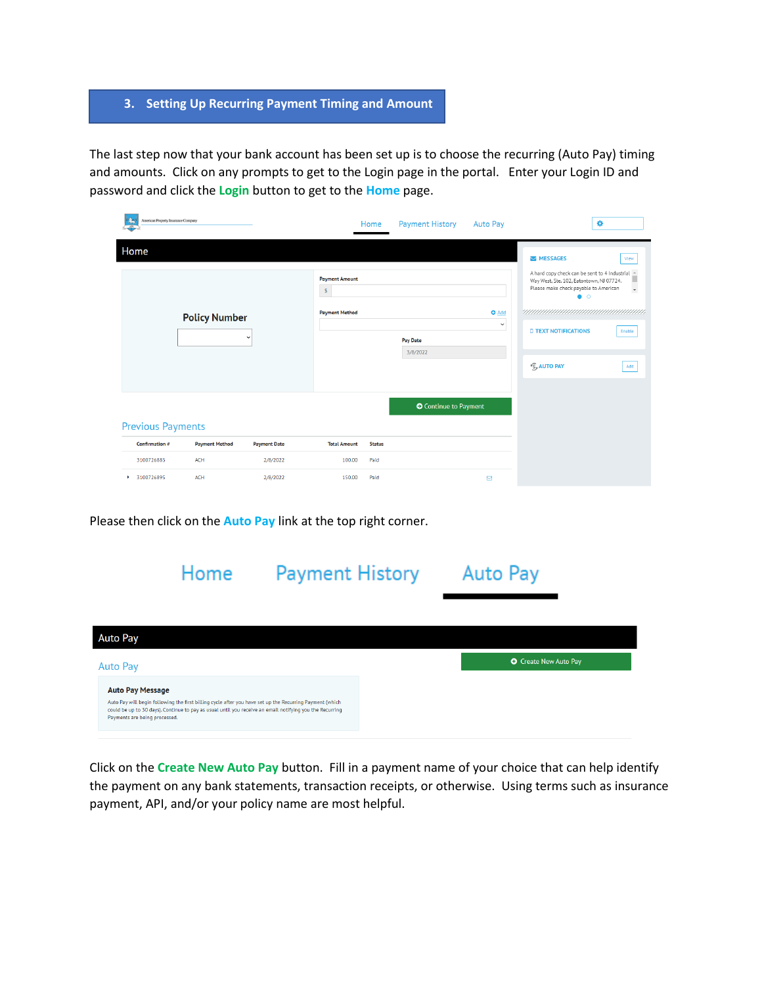## **3. Setting Up Recurring Payment Timing and Amount**

The last step now that your bank account has been set up is to choose the recurring (Auto Pay) timing and amounts. Click on any prompts to get to the Login page in the portal. Enter your Login ID and password and click the **Login** button to get to the **Home** page.

|                                              | American Property Insurance Company |                                                                |                     |                      | Home                         | <b>Payment History</b>                                                                                                                                                                                                                                                                        | <b>Auto Pay</b> | ۰ |
|----------------------------------------------|-------------------------------------|----------------------------------------------------------------|---------------------|----------------------|------------------------------|-----------------------------------------------------------------------------------------------------------------------------------------------------------------------------------------------------------------------------------------------------------------------------------------------|-----------------|---|
| Home<br><b>Policy Number</b><br>$\checkmark$ |                                     | <b>Payment Amount</b><br>$\mathsf{S}$<br><b>Payment Method</b> |                     | Pay Date<br>3/8/2022 | <b>O</b> Add<br>$\checkmark$ | MESSAGES<br>View<br>A hard copy check can be sent to 4 Industrial<br>ш<br>Way West, Ste. 102, Eatontown, NJ 07724.<br>Please make check payable to American<br>$\overline{\phantom{a}}$<br>$\bullet$ $\circ$<br><b>D TEXT NOTIFICATIONS</b><br>Enable<br><b>S<sub>s</sub> AUTO PAY</b><br>Add |                 |   |
|                                              | <b>Previous Payments</b>            |                                                                |                     |                      |                              | <b>O</b> Continue to Payment                                                                                                                                                                                                                                                                  |                 |   |
|                                              | Confirmation #                      | <b>Payment Method</b>                                          | <b>Payment Date</b> | <b>Total Amount</b>  | <b>Status</b>                |                                                                                                                                                                                                                                                                                               |                 |   |
|                                              | 3100726885                          | <b>ACH</b>                                                     | 2/8/2022            | 100.00               | Paid                         |                                                                                                                                                                                                                                                                                               |                 |   |
| ۰.                                           | 3100726895                          | <b>ACH</b>                                                     | 2/8/2022            | 150.00               | Paid                         |                                                                                                                                                                                                                                                                                               | ⊠               |   |

Please then click on the **Auto Pay** link at the top right corner.

|                                                          | Home                                                                                                                                                                                                                 | <b>Payment History</b> | <b>Auto Pay</b> |                              |
|----------------------------------------------------------|----------------------------------------------------------------------------------------------------------------------------------------------------------------------------------------------------------------------|------------------------|-----------------|------------------------------|
| <b>Auto Pay</b>                                          |                                                                                                                                                                                                                      |                        |                 |                              |
| Auto Pay                                                 |                                                                                                                                                                                                                      |                        |                 | <b>O</b> Create New Auto Pay |
| <b>Auto Pay Message</b><br>Payments are being processed. | Auto Pay will begin following the first billing cycle after you have set up the Recurring Payment (which<br>could be up to 30 days). Continue to pay as usual until you receive an email notifying you the Recurring |                        |                 |                              |

Click on the **Create New Auto Pay** button. Fill in a payment name of your choice that can help identify the payment on any bank statements, transaction receipts, or otherwise. Using terms such as insurance payment, API, and/or your policy name are most helpful.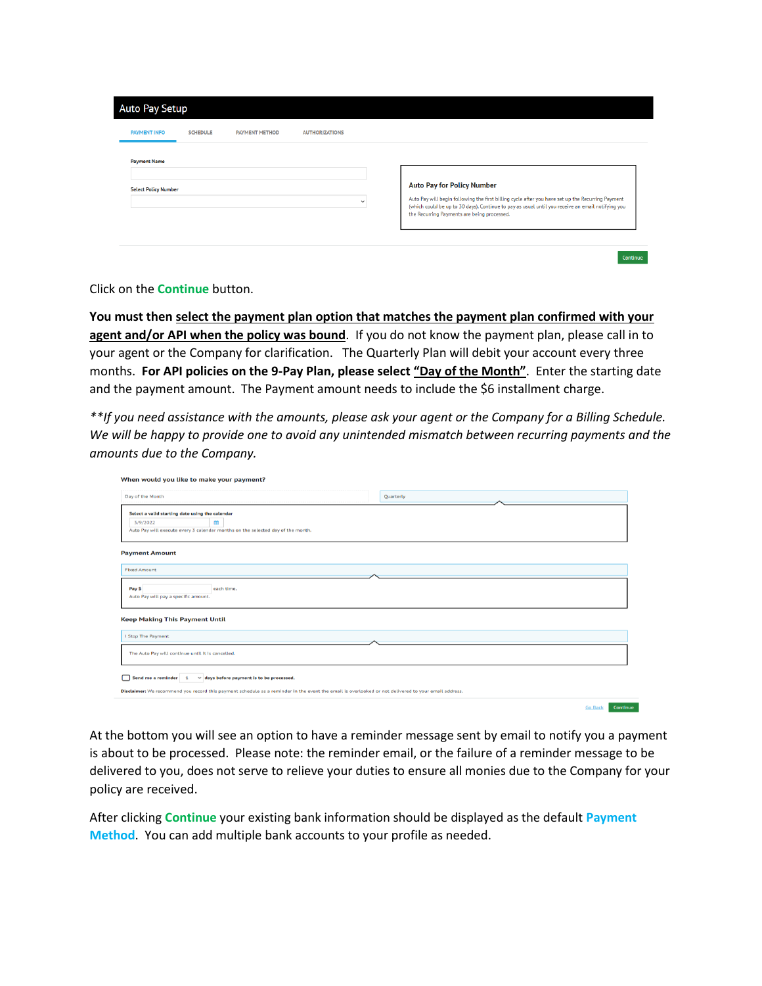| <b>PAYMENT INFO</b>         | <b>SCHEDULE</b> | <b>PAYMENT METHOD</b> | <b>AUTHORIZATIONS</b> |                                                                                                                                                                                                                                                       |
|-----------------------------|-----------------|-----------------------|-----------------------|-------------------------------------------------------------------------------------------------------------------------------------------------------------------------------------------------------------------------------------------------------|
| <b>Payment Name</b>         |                 |                       |                       |                                                                                                                                                                                                                                                       |
| <b>Select Policy Number</b> |                 |                       |                       | <b>Auto Pay for Policy Number</b>                                                                                                                                                                                                                     |
|                             |                 |                       | $\checkmark$          | Auto Pay will begin following the first billing cycle after you have set up the Recurring Payment<br>(which could be up to 30 days). Continue to pay as usual until you receive an email notifying you<br>the Recurring Payments are being processed. |

Click on the **Continue** button.

**You must then select the payment plan option that matches the payment plan confirmed with your**  agent and/or API when the policy was bound. If you do not know the payment plan, please call in to your agent or the Company for clarification. The Quarterly Plan will debit your account every three months. **For API policies on the 9-Pay Plan, please select "Day of the Month"**. Enter the starting date and the payment amount. The Payment amount needs to include the \$6 installment charge.

*\*\*If you need assistance with the amounts, please ask your agent or the Company for a Billing Schedule. We will be happy to provide one to avoid any unintended mismatch between recurring payments and the amounts due to the Company.*

| When would you like to make your payment?                                                                                                            |                            |  |  |  |  |  |
|------------------------------------------------------------------------------------------------------------------------------------------------------|----------------------------|--|--|--|--|--|
| Day of the Month                                                                                                                                     | Quarterly                  |  |  |  |  |  |
| Select a valid starting date using the calendar<br>簡<br>3/9/2022<br>Auto Pay will execute every 3 calendar months on the selected day of the month.  |                            |  |  |  |  |  |
| <b>Payment Amount</b>                                                                                                                                |                            |  |  |  |  |  |
| <b>Fixed Amount</b>                                                                                                                                  |                            |  |  |  |  |  |
| Pay \$<br>each time.<br>Auto Pay will pay a specific amount.                                                                                         |                            |  |  |  |  |  |
| <b>Keep Making This Payment Until</b>                                                                                                                |                            |  |  |  |  |  |
| I Stop The Payment                                                                                                                                   |                            |  |  |  |  |  |
| The Auto Pay will continue until it is cancelled.                                                                                                    |                            |  |  |  |  |  |
| Send me a reminder 1<br>$\vee$ days before payment is to be processed.                                                                               |                            |  |  |  |  |  |
| Disclaimer: We recommend you record this payment schedule as a reminder in the event the email is overlooked or not delivered to your email address. |                            |  |  |  |  |  |
|                                                                                                                                                      | <b>Go Back</b><br>Continue |  |  |  |  |  |

At the bottom you will see an option to have a reminder message sent by email to notify you a payment is about to be processed. Please note: the reminder email, or the failure of a reminder message to be delivered to you, does not serve to relieve your duties to ensure all monies due to the Company for your policy are received.

After clicking **Continue** your existing bank information should be displayed as the default **Payment Method**. You can add multiple bank accounts to your profile as needed.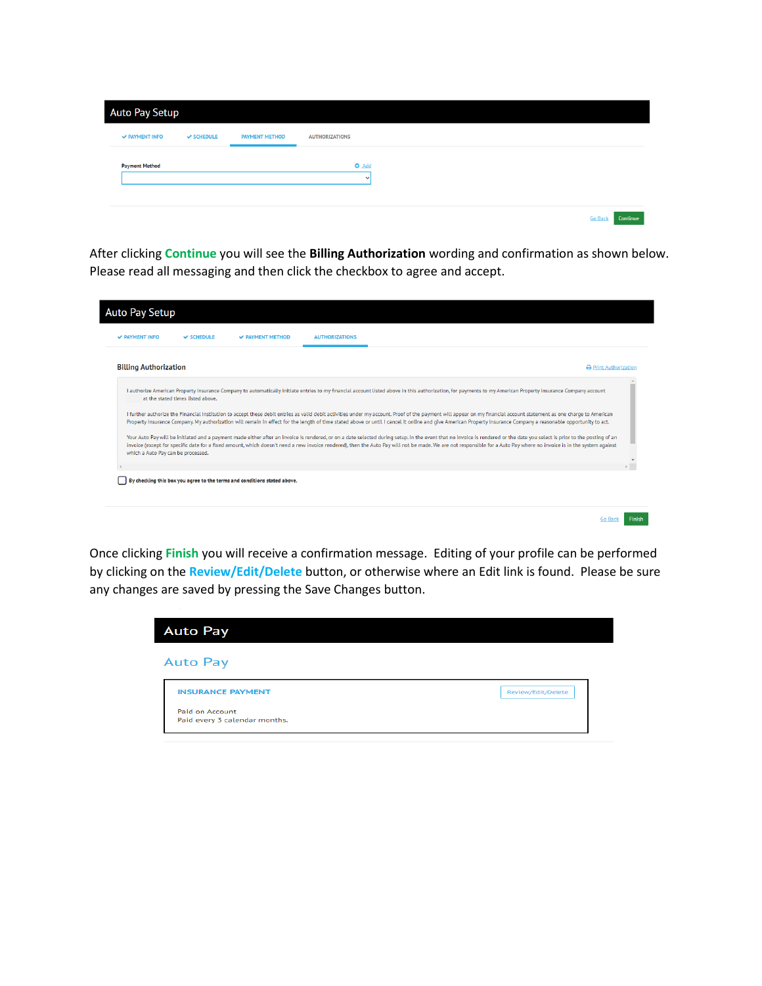| Auto Pay Setup        |            |                       |                            |
|-----------------------|------------|-----------------------|----------------------------|
| <b>√ PAYMENT INFO</b> | V SCHEDULE | <b>PAYMENT METHOD</b> | <b>AUTHORIZATIONS</b>      |
| <b>Payment Method</b> |            |                       | $O$ $Add$<br>$\checkmark$  |
|                       |            |                       | <b>Go Back</b><br>Continue |

After clicking **Continue** you will see the **Billing Authorization** wording and confirmation as shown below. Please read all messaging and then click the checkbox to agree and accept.

| <b>Billing Authorization</b>       |                                   |  |                                                                                                                                                                                                                                                                                                                                                                                                                                                                                                                                                                                                                                                                                                                                                                                                                                                                                                                                                                                                                                                                                                                | <b>A</b> Print Authorization |
|------------------------------------|-----------------------------------|--|----------------------------------------------------------------------------------------------------------------------------------------------------------------------------------------------------------------------------------------------------------------------------------------------------------------------------------------------------------------------------------------------------------------------------------------------------------------------------------------------------------------------------------------------------------------------------------------------------------------------------------------------------------------------------------------------------------------------------------------------------------------------------------------------------------------------------------------------------------------------------------------------------------------------------------------------------------------------------------------------------------------------------------------------------------------------------------------------------------------|------------------------------|
| which a Auto Pay can be processed. | at the stated times listed above. |  | I authorize American Property Insurance Company to automatically initiate entries to my financial account listed above in this authorization, for payments to my American Property Insurance Company account<br>I further authorize the Financial Institution to accept these debit entries as valid debit activities under my account. Proof of the payment will appear on my financial account statement as one charge to American<br>Property Insurance Company. My authorization will remain in effect for the length of time stated above or until I cancel it online and give American Property Insurance Company a reasonable opportunity to act.<br>Your Auto Pay will be initiated and a payment made either after an invoice is rendered, or on a date selected during setup. In the event that no invoice is rendered or the date you select is prior to the posting of an<br>invoice (except for specific date for a fixed amount, which doesn't need a new invoice rendered), then the Auto Pay will not be made. We are not responsible for a Auto Pay where no invoice is in the system against |                              |
|                                    |                                   |  |                                                                                                                                                                                                                                                                                                                                                                                                                                                                                                                                                                                                                                                                                                                                                                                                                                                                                                                                                                                                                                                                                                                |                              |

Once clicking **Finish** you will receive a confirmation message. Editing of your profile can be performed by clicking on the **Review/Edit/Delete** button, or otherwise where an Edit link is found. Please be sure any changes are saved by pressing the Save Changes button.

| <b>Auto Pay</b>                                  |                    |
|--------------------------------------------------|--------------------|
| <b>Auto Pay</b>                                  |                    |
| <b>INSURANCE PAYMENT</b>                         | Review/Edit/Delete |
| Paid on Account<br>Paid every 3 calendar months. |                    |